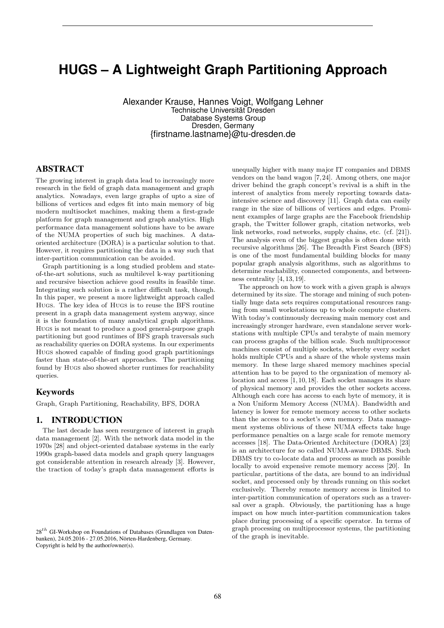# **HUGS – A Lightweight Graph Partitioning Approach**

Alexander Krause, Hannes Voigt, Wolfgang Lehner Technische Universität Dresden Database Systems Group Dresden, Germany {firstname.lastname}@tu-dresden.de

## ABSTRACT

The growing interest in graph data lead to increasingly more research in the field of graph data management and graph analytics. Nowadays, even large graphs of upto a size of billions of vertices and edges fit into main memory of big modern multisocket machines, making them a first-grade platform for graph management and graph analytics. High performance data management solutions have to be aware of the NUMA properties of such big machines. A dataoriented architecture (DORA) is a particular solution to that. However, it requires partitioning the data in a way such that inter-partition communication can be avoided.

Graph partitioning is a long studied problem and stateof-the-art solutions, such as multilevel k-way partitioning and recursive bisection achieve good results in feasible time. Integrating such solution is a rather difficult task, though. In this paper, we present a more lightweight approach called Hugs. The key idea of Hugs is to reuse the BFS routine present in a graph data management system anyway, since it is the foundation of many analytical graph algorithms. Hugs is not meant to produce a good general-purpose graph partitioning but good runtimes of BFS graph traversals such as reachability queries on DORA systems. In our experiments Hugs showed capable of finding good graph partitionings faster than state-of-the-art approaches. The partitioning found by Hugs also showed shorter runtimes for reachability queries.

### Keywords

Graph, Graph Partitioning, Reachability, BFS, DORA

### 1. INTRODUCTION

The last decade has seen resurgence of interest in graph data management [2]. With the network data model in the 1970s [28] and object-oriented database systems in the early 1990s graph-based data models and graph query languages got considerable attention in research already [3]. However, the traction of today's graph data management efforts is

unequally higher with many major IT companies and DBMS vendors on the band wagon [7, 24]. Among others, one major driver behind the graph concept's revival is a shift in the interest of analytics from merely reporting towards dataintensive science and discovery [11]. Graph data can easily range in the size of billions of vertices and edges. Prominent examples of large graphs are the Facebook friendship graph, the Twitter follower graph, citation networks, web link networks, road networks, supply chains, etc. (cf. [21]). The analysis even of the biggest graphs is often done with recursive algorithms [26]. The Breadth First Search (BFS) is one of the most fundamental building blocks for many popular graph analysis algorithms, such as algorithms to determine reachability, connected components, and betweenness centrality [4, 13, 19].

The approach on how to work with a given graph is always determined by its size. The storage and mining of such potentially huge data sets requires computational resources ranging from small workstations up to whole compute clusters. With today's continuously decreasing main memory cost and increasingly stronger hardware, even standalone server workstations with multiple CPUs and terabyte of main memory can process graphs of the billion scale. Such multiprocessor machines consist of multiple sockets, whereby every socket holds multiple CPUs and a share of the whole systems main memory. In these large shared memory machines special attention has to be payed to the organization of memory allocation and access [1, 10, 18]. Each socket manages its share of physical memory and provides the other sockets access. Although each core has access to each byte of memory, it is a Non Uniform Memory Access (NUMA). Bandwidth and latency is lower for remote memory access to other sockets than the access to a socket's own memory. Data management systems oblivious of these NUMA effects take huge performance penalties on a large scale for remote memory accesses [18]. The Data-Oriented Architecture (DORA) [23] is an architecture for so called NUMA-aware DBMS. Such DBMS try to co-locate data and process as much as possible locally to avoid expensive remote memory access [20]. In particular, partitions of the data, are bound to an individual socket, and processed only by threads running on this socket exclusively. Thereby remote memory access is limited to inter-partition communication of operators such as a traversal over a graph. Obviously, the partitioning has a huge impact on how much inter-partition communication takes place during processing of a specific operator. In terms of graph processing on multiprocessor systems, the partitioning of the graph is inevitable.

 $28<sup>th</sup>$  GI-Workshop on Foundations of Databases (Grundlagen von Datenbanken), 24.05.2016 - 27.05.2016, Nörten-Hardenberg, Germany. Copyright is held by the author/owner(s).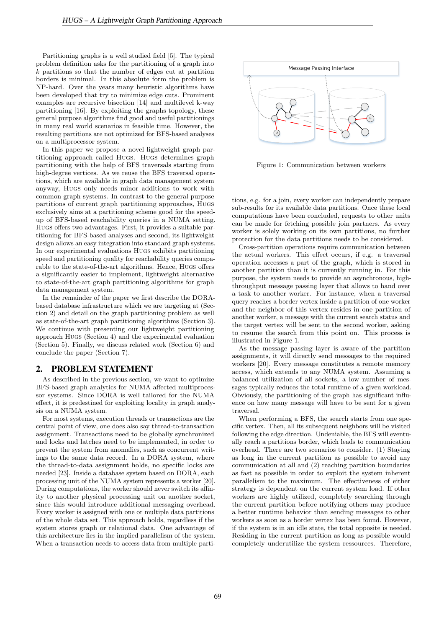Partitioning graphs is a well studied field [5]. The typical problem definition asks for the partitioning of a graph into k partitions so that the number of edges cut at partition borders is minimal. In this absolute form the problem is NP-hard. Over the years many heuristic algorithms have been developed that try to minimize edge cuts. Prominent examples are recursive bisection [14] and multilevel k-way partitioning [16]. By exploiting the graphs topology, these general purpose algorithms find good and useful partitionings in many real world scenarios in feasible time. However, the resulting partitions are not optimized for BFS-based analyses on a multiprocessor system.

In this paper we propose a novel lightweight graph partitioning approach called Hugs. Hugs determines graph partitioning with the help of BFS traversals starting from high-degree vertices. As we reuse the BFS traversal operations, which are available in graph data management system anyway, Hugs only needs minor additions to work with common graph systems. In contrast to the general purpose partitions of current graph partitioning approaches, Hugs exclusively aims at a partitioning scheme good for the speedup of BFS-based reachability queries in a NUMA setting. Hugs offers two advantages. First, it provides a suitable partitioning for BFS-based analyses and second, its lightweight design allows an easy integration into standard graph systems. In our experimental evaluations Hugs exhibits partitioning speed and partitioning quality for reachability queries comparable to the state-of-the-art algorithms. Hence, Hugs offers a significantly easier to implement, lightweight alternative to state-of-the-art graph partitioning algorithms for graph data management system.

In the remainder of the paper we first describe the DORAbased database infrastructure which we are targeting at (Section 2) and detail on the graph partitioning problem as well as state-of-the-art graph partitioning algorithms (Section 3). We continue with presenting our lightweight partitioning approach Hugs (Section 4) and the experimental evaluation (Section 5). Finally, we discuss related work (Section 6) and conclude the paper (Section 7).

### 2. PROBLEM STATEMENT

As described in the previous section, we want to optimize BFS-based graph analytics for NUMA affected multiprocessor systems. Since DORA is well tailored for the NUMA effect, it is predestined for exploiting locality in graph analysis on a NUMA system.

For most systems, execution threads or transactions are the central point of view, one does also say thread-to-transaction assignment. Transactions need to be globally synchronized and locks and latches need to be implemented, in order to prevent the system from anomalies, such as concurrent writings to the same data record. In a DORA system, where the thread-to-data assignment holds, no specific locks are needed [23]. Inside a database system based on DORA, each processing unit of the NUMA system represents a worker [20]. During computations, the worker should never switch its affinity to another physical processing unit on another socket, since this would introduce additional messaging overhead. Every worker is assigned with one or multiple data partitions of the whole data set. This approach holds, regardless if the system stores graph or relational data. One advantage of this architecture lies in the implied parallelism of the system. When a transaction needs to access data from multiple parti-



Figure 1: Communication between workers

tions, e.g. for a join, every worker can independently prepare sub-results for its available data partitions. Once these local computations have been concluded, requests to other units can be made for fetching possible join partners. As every worker is solely working on its own partitions, no further protection for the data partitions needs to be considered.

Cross-partition operations require communication between the actual workers. This effect occurs, if e.g. a traversal operation accesses a part of the graph, which is stored in another partition than it is currently running in. For this purpose, the system needs to provide an asynchronous, highthroughput message passing layer that allows to hand over a task to another worker. For instance, when a traversal query reaches a border vertex inside a partition of one worker and the neighbor of this vertex resides in one partition of another worker, a message with the current search status and the target vertex will be sent to the second worker, asking to resume the search from this point on. This process is illustrated in Figure 1.

As the message passing layer is aware of the partition assignments, it will directly send messages to the required workers [20]. Every message constitutes a remote memory access, which extends to any NUMA system. Assuming a balanced utilization of all sockets, a low number of messages typically reduces the total runtime of a given workload. Obviously, the partitioning of the graph has significant influence on how many message will have to be sent for a given traversal.

When performing a BFS, the search starts from one specific vertex. Then, all its subsequent neighbors will be visited following the edge direction. Undeniable, the BFS will eventually reach a partitions border, which leads to communication overhead. There are two scenarios to consider. (1) Staying as long in the current partition as possible to avoid any communication at all and (2) reaching partition boundaries as fast as possible in order to exploit the system inherent parallelism to the maximum. The effectiveness of either strategy is dependent on the current system load. If other workers are highly utilized, completely searching through the current partition before notifying others may produce a better runtime behavior than sending messages to other workers as soon as a border vertex has been found. However, if the system is in an idle state, the total opposite is needed. Residing in the current partition as long as possible would completely underutilize the system ressources. Therefore,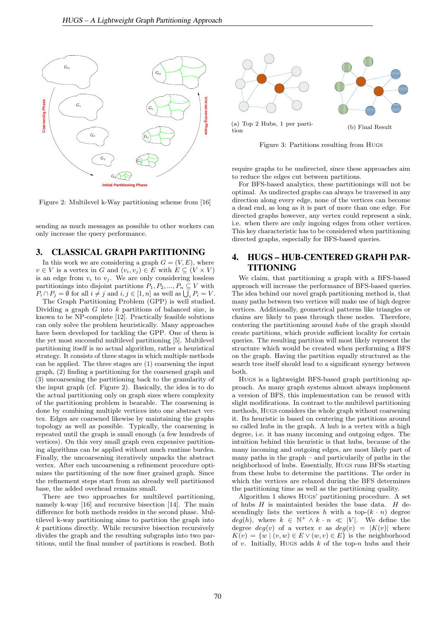

Figure 2: Multilevel k-Way partitioning scheme from  $[16]$ 

sending as much messages as possible to other workers can only increase the query performance.

#### **Mi** ∠ **Ei** and an of an open the vertices that are incident of the matching of the matching. In this matching of the matching. In this matching of the matching. In this matching of the matching. In this matching of the m 3. CLASSICAL GRAPH PARTITIONING **3.**

In this work we are considering a graph  $G = (V, E)$ , where  $v \in V$  is a vertex in G and  $(v_i, v_j) \in E$  with  $E \subseteq (V \times V)$ is an edge from  $v_i$  to  $v_j$ . We are only considering lossless the weights of vertices v and *u*, and the edges incident on w is set equal to the union of the edges incident on v and partitionings into disjoint partitions  $P_1, P_2, ..., P_n \subseteq V$  with  $P_i \cap P_j = \emptyset$  for all  $i \neq j$  and  $i, j \in [1, n]$  as well as  $\bigcup_i P_i = V$ .

The Graph Partitioning Problem (GPP) is well studied. Dividing a graph G into k partitions of balanced size, is known to be NP-complete [12]. Practically feasible solutions  $\frac{1}{\sqrt{17}}$  matchings can be computed in different ways  $\frac{17}{\sqrt{17}}$ . The matching greatly greatly greatly greatly greatly greatly greatly greatly greatly greatly greatly greatly greatly greatly greatly greatly greatl have been developed for tackling the GPP. One of them is the yet most successful multilevel partitioning [5]. Multilevel strategy. It consists of three stages in which multiple methods can only solve the problem heuristically. Many approaches partitioning itself is no actual algorithm, rather a heuristical can be applied. The three stages are (1) coarsening the input graph, (2) finding a partitioning for the coarsened graph and (3) uncoarsening the partitioning back to the granularity of the input graph (cf. Figure 2). Basically, the idea is to do the actual partitioning only on graph sizes where complexity of the partitioning problem is bearable. The coarsening is done by combining multiple vertices into one abstract vertex. Edges are coarsened likewise by maintaining the graphs topology as well as possible. Typically, the coarsening is repeated until the graph is small enough (a few hundreds of vertices). On this very small graph even expensive partitioning algorithms can be applied without much runtime burden. Finally, the uncoarsening iteratively unpacks the abstract vertex. After each uncoarsening a refinement procedure optimizes the partitioning of the now finer grained graph. Since the refinement steps start from an already well partitioned base, the added overhead remains small.

There are two approaches for multilevel partitioning, namely k-way [16] and recursive bisection [14]. The main difference for both methods resides in the second phase. Multilevel k-way partitioning aims to partition the graph into  $k$  partitions directly. While recursive bisection recursively divides the graph and the resulting subgraphs into two partitions, until the final number of partitions is reached. Both



Figure 3: Partitions resulting from Hugs

require graphs to be undirected, since these approaches aim to reduce the edges cut between partitions.

In the rest of this section we briefly describe the multilevel algorithm. The multiplevel algorithm  $\mathcal{A}$ the original graph *G*<sup>0</sup> = (*V*0, *E*0) such that |*Vi*| > |*Vi*<sup>+</sup>1|. Graph *Gi*<sup>+</sup><sup>1</sup> is constructed from *Gi* by finding a maximal For BFS-based analytics, these partitionings will not be optimal. As undirected graphs can always be traversed in any direction along every edge, none of the vertices can become a dead end, as long as it is part of more than one edge. For directed graphs however, any vertex could represent a sink, i.e. when there are only ingoing edges from other vertices. This key characteristic has to be considered when partitioning directed graphs, especially for BFS-based queries.

## 4. HUGS – HUB-CENTERED GRAPH PAR-TITIONING

We claim, that partitioning a graph with a BFS-based approach will increase the performance of BFS-based queries. The idea behind our novel graph partitioning method is, that many paths between two vertices will make use of high degree vertices. Additionally, geometrical patterns like triangles or chains are likely to pass through these nodes. Therefore, centering the partitioning around hubs of the graph should create partitions, which provide sufficient locality for certain queries. The resulting partition will most likely represent the structure which would be created when performing a BFS on the graph. Having the partition equally structured as the search tree itself should lead to a significant synergy between both.

Hugs is a lightweight BFS-based graph partitioning approach. As many graph systems almost always implement a version of BFS, this implementation can be reused with slight modifications. In contrast to the multilevel partitioning methods, Hugs considers the whole graph without coarsening it. Its heuristic is based on centering the partitions around so called hubs in the graph. A hub is a vertex with a high degree, i.e. it has many incoming and outgoing edges. The intuition behind this heuristic is that hubs, because of the many incoming and outgoing edges, are most likely part of many paths in the graph – and particularily of paths in the neighborhood of hubs. Essentially, Hugs runs BFSs starting from these hubs to determine the partitions. The order in which the vertices are relaxed during the BFS determines the partitioning time as well as the partitioning quality.

Algorithm 1 shows Hugs' partitioning procedure. A set of hubs  $H$  is maintainted besides the base data.  $H$  descendingly lists the vertices h with a top- $(k \cdot n)$  degree  $deg(h)$ , where  $k \in \mathbb{N}^+ \wedge k \cdot n \ll |V|$ . We define the degree  $deg(v)$  of a vertex v as  $deg(v) = |K(v)|$  where  $K(v) = \{w \mid (v, w) \in E \vee (w, v) \in E\}$  is the neighborhood of v. Initially, Hugs adds  $k$  of the top-n hubs and their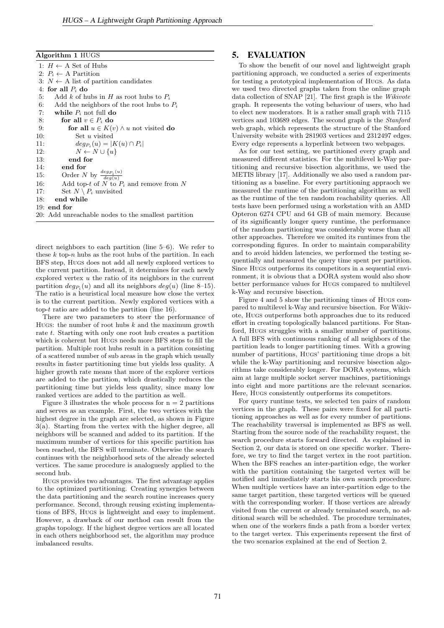Algorithm 1 HUGS

1:  $H \leftarrow A$  Set of Hubs 2:  $P_i \leftarrow A$  Partition 3:  $N \leftarrow A$  list of partition candidates 4: for all  $P_i$  do 5: Add k of hubs in H as root hubs to  $P_i$ 6: Add the neighbors of the root hubs to  $P_i$ 7: while  $P_i$  not full do 8: for all  $v \in P_i$  do 9: for all  $u \in K(i)$ 9: **for all**  $u \in K(v) \wedge u$  not visited **do** 10: **Set** *u* visited Set  $u$  visited 11:  $deg_{P_i}(u) = |K(u) \cap P_i|$ 12:  $N \leftarrow N \cup \{u\}$ <br>13: end for end for 14: end for 15: Order N by  $\frac{deg_{P_i}(u)}{deg(u)}$  $deg(u)$ 16: Add top-t of N to  $P_i$  and remove from N 17: Set  $N \setminus P_i$  unvisited<br>18: **end while** end while 19: end for 20: Add unreachable nodes to the smallest partition

direct neighbors to each partition (line 5–6). We refer to these  $k$  top-n hubs as the root hubs of the partition. In each BFS step, Hugs does not add all newly explored vertices to the current partition. Instead, it determines for each newly explored vertex u the ratio of its neighbors in the current partition  $deg_{P_i}(u)$  and all its neighbors  $deg(u)$  (line 8-15). The ratio is a heuristical local measure how close the vertex is to the current partition. Newly explored vertices with a top- $t$  ratio are added to the partition (line 16).

There are two parameters to steer the performance of Hugs: the number of root hubs  $k$  and the maximum growth rate t. Starting with only one root hub creates a partition which is coherent but Hugs needs more BFS steps to fill the partition. Multiple root hubs result in a partition consisting of a scattered number of sub areas in the graph which usually results in faster partitioning time but yields less quality. A higher growth rate means that more of the explorer vertices are added to the partition, which drastically reduces the partitioning time but yields less quality, since many low ranked vertices are added to the partition as well.

Figure 3 illustrates the whole process for  $n = 2$  partitions and serves as an example. First, the two vertices with the highest degree in the graph are selected, as shown in Figure 3(a). Starting from the vertex with the higher degree, all neighbors will be scanned and added to its partition. If the maximum number of vertices for this specific partition has been reached, the BFS will terminate. Otherwise the search continues with the neighborhood sets of the already selected vertices. The same procedure is analoguesly applied to the second hub.

Hugs provides two advantages. The first advantage applies to the optimized partitioning. Creating synergies between the data partitioning and the search routine increases query performance. Second, through reusing existing implementations of BFS, Hugs is lightweight and easy to implement. However, a drawback of our method can result from the graphs topology. If the highest degree vertices are all located in each others neighborhood set, the algorithm may produce imbalanced results.

### 5. EVALUATION

To show the benefit of our novel and lightweight graph partitioning approach, we conducted a series of experiments for testing a prototypical implementation of Hugs. As data we used two directed graphs taken from the online graph data collection of SNAP [21]. The first graph is the Wikivote graph. It represents the voting behaviour of users, who had to elect new moderators. It is a rather small graph with 7115 vertices and 103689 edges. The second graph is the Stanford web graph, which represents the structure of the Stanford University website with 281903 vertices and 2312497 edges. Every edge represents a hyperlink between two webpages.

As for our test setting, we partitioned every graph and measured different statistics. For the multilevel k-Way partitioning and recursive bisection algorithms, we used the METIS library [17]. Additionally we also used a random partitioning as a baseline. For every partitioning appraoch we measured the runtime of the partitioning algorithm as well as the runtime of the ten random reachability queries. All tests have been performed using a workstation with an AMD Opteron 6274 CPU and 64 GB of main memory. Because of its significantly longer query runtime, the performance of the random partitioning was considerably worse than all other approaches. Therefore we omited its runtimes from the corresponding figures. In order to maintain comparability and to avoid hidden latencies, we performed the testing sequentially and measured the query time spent per partition. Since Hugs outperforms its competitors in a sequential environment, it is obvious that a DORA system would also show better performance values for Hugs compared to multilevel k-Way and recursive bisection.

Figure 4 and 5 show the partitioning times of Hugs compared to multilevel k-Way and recursive bisection. For Wikivote, Hugs outperforms both approaches due to its reduced effort in creating topologically balanced partitions. For Stanford, Hugs struggles with a smaller number of partitions. A full BFS with continuous ranking of all neighbors of the partition leads to longer partitioning times. With a growing number of partitions, Hugs' partitioning time drops a bit while the k-Way partitioning and recursive bisection algorithms take considerably longer. For DORA systems, which aim at large multiple socket server machines, partitionings into eight and more partitions are the relevant scenarios. Here, Hugs consistently outperforms its competitors.

For query runtime tests, we selected ten pairs of random vertices in the graph. These pairs were fixed for all partitioning approaches as well as for every number of partitions. The reachability traversal is implemented as BFS as well. Starting from the source node of the reachability request, the search procedure starts forward directed. As explained in Section 2, our data is stored on one specific worker. Therefore, we try to find the target vertex in the root partition. When the BFS reaches an inter-partition edge, the worker with the partition containing the targeted vertex will be notified and immediately starts his own search procedure. When multiple vertices have an inter-partition edge to the same target partition, these targeted vertices will be queued with the corresponding worker. If those vertices are already visited from the current or already terminated search, no additional search will be scheduled. The procedure terminates, when one of the workers finds a path from a border vertex to the target vertex. This experiments represent the first of the two scenarios explained at the end of Section 2.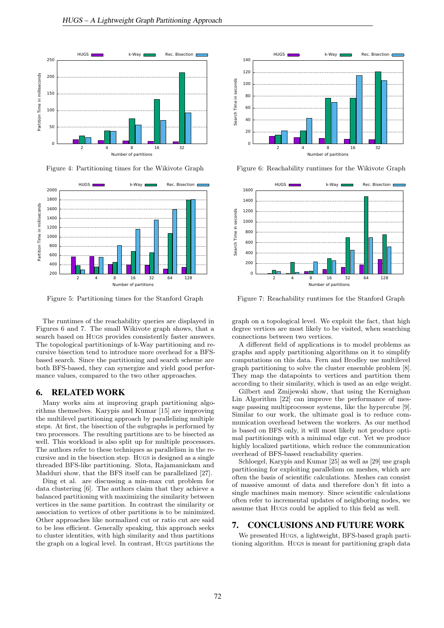

Figure 4: Partitioning times for the Wikivote Graph



Figure 5: Partitioning times for the Stanford Graph

The runtimes of the reachability queries are displayed in Figures 6 and 7. The small Wikivote graph shows, that a search based on Hugs provides consistently faster answers. The topological partitionings of k-Way partitioning and recursive bisection tend to introduce more overhead for a BFSbased search. Since the partitioning and search scheme are both BFS-based, they can synergize and yield good performance values, compared to the two other approaches.

### 6. RELATED WORK

Many works aim at improving graph partitioning algorithms themselves. Karypis and Kumar [15] are improving the multilevel partitioning approach by parallelizing multiple steps. At first, the bisection of the subgraphs is performed by two processors. The resulting partitions are to be bisected as well. This workload is also split up for multiple processors. The authors refer to these techniques as parallelism in the recursive and in the bisection step. Hugs is designed as a single threaded BFS-like partitioning. Slota, Rajamanickam and Madduri show, that the BFS itself can be parallelized [27].

Ding et al. are discussing a min-max cut problem for data clustering [6]. The authors claim that they achieve a balanced partitioning with maximizing the similarity between vertices in the same partition. In contrast the similarity or association to vertices of other partitions is to be minimized. Other approaches like normalized cut or ratio cut are said to be less efficient. Generally speaking, this approach seeks to cluster identities, with high similarity and thus partitions the graph on a logical level. In contrast, Hugs partitions the



Figure 6: Reachability runtimes for the Wikivote Graph



Figure 7: Reachability runtimes for the Stanford Graph

graph on a topological level. We exploit the fact, that high degree vertices are most likely to be visited, when searching connections between two vertices.

A different field of applications is to model problems as graphs and apply partitioning algorithms on it to simplify computations on this data. Fern and Brodley use multilevel graph partitioning to solve the cluster ensemble problem [8]. They map the datapoints to vertices and partition them according to their similarity, which is used as an edge weight.

Gilbert and Zmijewski show, that using the Kernighan Lin Algorithm [22] can improve the performance of message passing multiprocessor systems, like the hypercube [9]. Similar to our work, the ultimate goal is to reduce communication overhead between the workers. As our method is based on BFS only, it will most likely not produce optimal partitionings with a minimal edge cut. Yet we produce highly localized partitions, which reduce the communication overhead of BFS-based reachability queries.

Schloegel, Karypis and Kumar [25] as well as [29] use graph partitioning for exploiting parallelism on meshes, which are often the basis of scientific calculations. Meshes can consist of massive amount of data and therefore don't fit into a single machines main memory. Since scientific calculations often refer to incremental updates of neighboring nodes, we assume that Hugs could be applied to this field as well.

#### 7. CONCLUSIONS AND FUTURE WORK

We presented Hugs, a lightweight, BFS-based graph partitioning algorithm. Hugs is meant for partitioning graph data